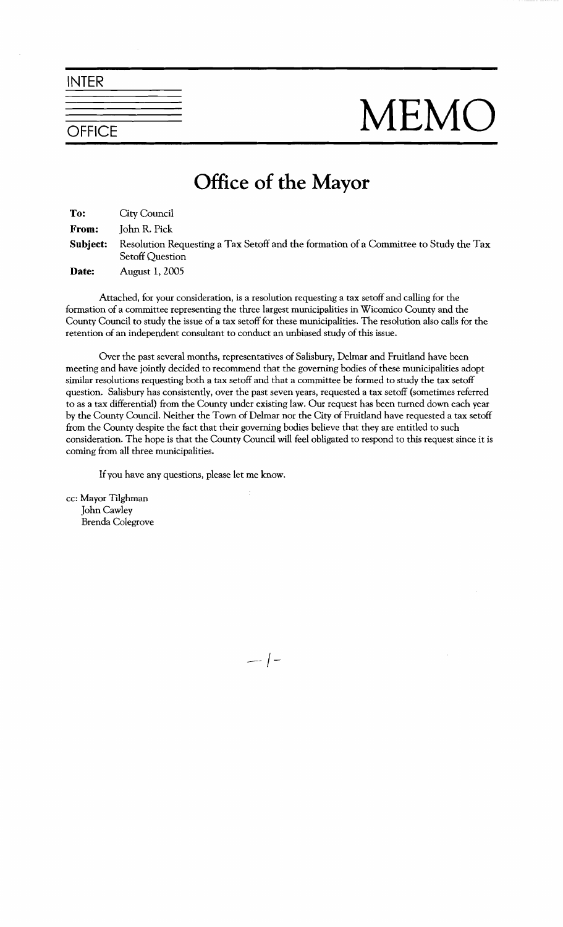INTER

## NEMO

## **Office of the Mayor**

| To:      | City Council                                                                                                   |
|----------|----------------------------------------------------------------------------------------------------------------|
| From:    | John R. Pick                                                                                                   |
| Subject: | Resolution Requesting a Tax Setoff and the formation of a Committee to Study the Tax<br><b>Setoff Question</b> |
| Date:    | <b>August 1, 2005</b>                                                                                          |

Attached, for your consideration, is a resolution requesting a tax setoff and calling for the formation of a committee representing the three largest municipalities in Wicomico County and the County Council to study the issue of a tax setoff for these municipalities. The resolution also calls for the retention of an independent consultant to conduct an unbiased study of this issue.

Over the past several months, representatives of Salisbury, Delmar and Fruitland have been meeting and have jointly decided to recommend that the governing bodies of these municipalities adopt similar resolutions requesting both a tax setoff and that a committee be formed to study the tax setoff question. Salisbury has consistently, over the past seven years, requested a tax setoff (sometimes referred to as a tax differential) from the County under existing law. Our request has been turned down each year by the County Council. Neither the Town of Delmar nor the City of Fruitland have requested a **tax** setoff from the County despite the fact that their governing bodies believe that they are entitled to such consideration. The hope is that the County Council will feel obligated to respond to this request since it is coming from all three municipalities.

If you have any questions, please let me know.

cc: Mayor Tilghman John Cawley Brenda Colegrove

 $-$  |  $-$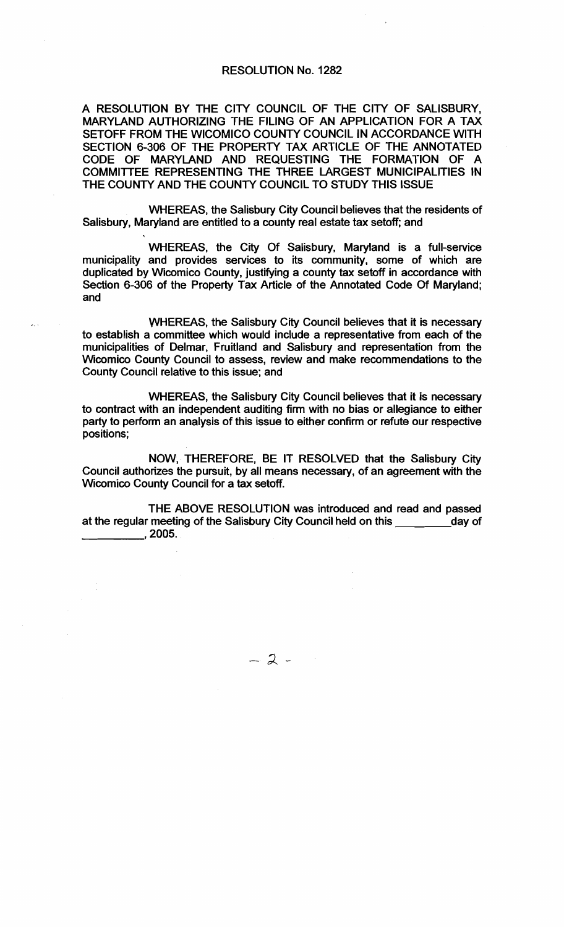## RESOLUTION No. 1282

A RESOLUTION BY THE ClTY COUNCIL OF THE ClTY OF SALISBURY, MARYLAND AUTHORIZING 'THE FILING OF AN APPLICATION FOR A TAX SETOFF FROM THE WlCOMlCO COUNTY COUNCIL IN ACCORDANCE WITH SECTION 6-306 OF THE PROPERTY TAX ARTICLE OF THE ANNOTATED CODE OF MARYLAND AND REQUESTING THE FORMAI'ION OF A COMMITTEE REPRESENTING THE THREE LARGEST MUNICIPALITIES IN THE COUNTY AND THE COUNTY COUNCIL TO STUDY THIS ISSUE

WHEREAS, the Salisbury City Council believes that the residents of Salisbury, Maryland are entitled to a county real estate tax setoff; and

WHEREAS, the City Of Salisbury, Maryland is a full-service municipality and provides services to its community, some of which are duplicated by Wicomico County, justifying a county tax setoff in accordance with Section 6-306 of the Property Tax Article of the Annotated Code Of Maryland; and

WHEREAS, the Salisbury City Council believes that it is necessary to establish a committee which would include a representative from each of the municipalities of Delmar, Fruitland and Salisbury and representation from the Wicomico County Council to assess, review and make recommendations to the County Council relative to this issue; and

WHEREAS, the Salisbury City Council believes that it is necessary to contract with an independent auditing firm with no bias or allegiance to either party to perform an analysis of this issue to either confirm or refute our respective positions;

NOW, THEREFORE, BE IT RESOLVED that the Salisbury City Council authorizes the pursuit, by all means necessary, of an agreement with the Wicomico County Council for a tax setoff.

THE ABOVE RESOLUTION was introduced and read and passed at the regular meeting of the Salisbury City Council held on this day of ,2005.

 $-2-$